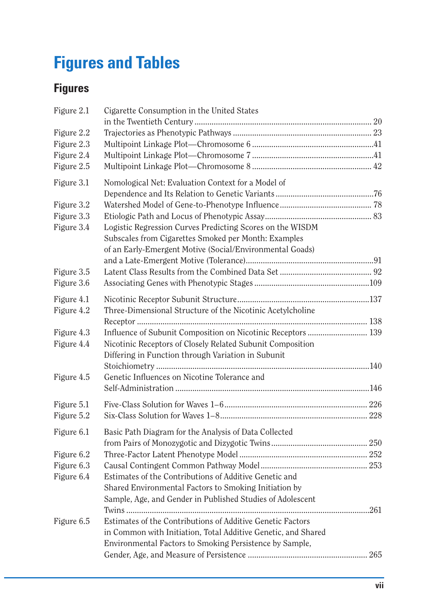## **Figures and Tables**

## **Figures**

| Figure 2.1 | Cigarette Consumption in the United States                                                                       |     |
|------------|------------------------------------------------------------------------------------------------------------------|-----|
|            |                                                                                                                  |     |
| Figure 2.2 |                                                                                                                  |     |
| Figure 2.3 |                                                                                                                  |     |
| Figure 2.4 |                                                                                                                  |     |
| Figure 2.5 |                                                                                                                  |     |
| Figure 3.1 | Nomological Net: Evaluation Context for a Model of                                                               |     |
|            |                                                                                                                  |     |
| Figure 3.2 |                                                                                                                  |     |
| Figure 3.3 | Logistic Regression Curves Predicting Scores on the WISDM                                                        |     |
| Figure 3.4 | Subscales from Cigarettes Smoked per Month: Examples                                                             |     |
|            | of an Early-Emergent Motive (Social/Environmental Goads)                                                         |     |
|            |                                                                                                                  |     |
| Figure 3.5 |                                                                                                                  |     |
| Figure 3.6 |                                                                                                                  |     |
|            |                                                                                                                  |     |
| Figure 4.1 |                                                                                                                  |     |
| Figure 4.2 | Three-Dimensional Structure of the Nicotinic Acetylcholine                                                       |     |
|            |                                                                                                                  |     |
| Figure 4.3 |                                                                                                                  |     |
| Figure 4.4 | Nicotinic Receptors of Closely Related Subunit Composition<br>Differing in Function through Variation in Subunit |     |
|            |                                                                                                                  |     |
| Figure 4.5 | Genetic Influences on Nicotine Tolerance and                                                                     |     |
|            |                                                                                                                  |     |
|            |                                                                                                                  |     |
| Figure 5.1 |                                                                                                                  |     |
| Figure 5.2 |                                                                                                                  |     |
| Figure 6.1 | Basic Path Diagram for the Analysis of Data Collected                                                            |     |
|            |                                                                                                                  |     |
| Figure 6.2 |                                                                                                                  |     |
| Figure 6.3 |                                                                                                                  |     |
| Figure 6.4 | Estimates of the Contributions of Additive Genetic and                                                           |     |
|            | Shared Environmental Factors to Smoking Initiation by                                                            |     |
|            | Sample, Age, and Gender in Published Studies of Adolescent                                                       |     |
|            | Estimates of the Contributions of Additive Genetic Factors                                                       |     |
| Figure 6.5 |                                                                                                                  |     |
|            | in Common with Initiation, Total Additive Genetic, and Shared                                                    |     |
|            | Environmental Factors to Smoking Persistence by Sample,                                                          | 265 |
|            |                                                                                                                  |     |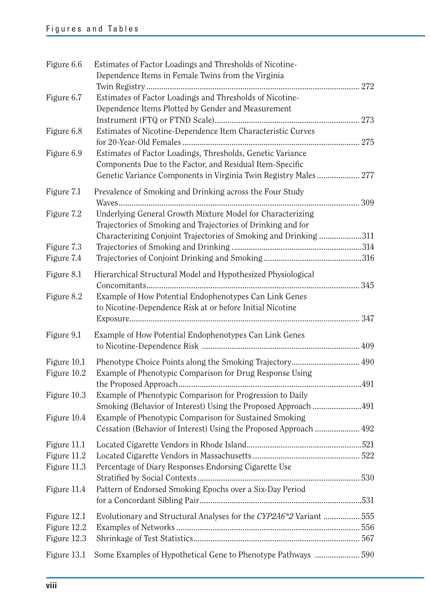| Figure 6.6                                | Estimates of Factor Loadings and Thresholds of Nicotine-<br>Dependence Items in Female Twins from the Virginia                                                                            |  |
|-------------------------------------------|-------------------------------------------------------------------------------------------------------------------------------------------------------------------------------------------|--|
| Figure 6.7                                | Estimates of Factor Loadings and Thresholds of Nicotine-                                                                                                                                  |  |
|                                           | Dependence Items Plotted by Gender and Measurement                                                                                                                                        |  |
| Figure 6.8                                | Estimates of Nicotine-Dependence Item Characteristic Curves                                                                                                                               |  |
| Figure 6.9                                | Estimates of Factor Loadings, Thresholds, Genetic Variance<br>Components Due to the Factor, and Residual Item-Specific<br>Genetic Variance Components in Virginia Twin Registry Males 277 |  |
| Figure 7.1                                | Prevalence of Smoking and Drinking across the Four Study                                                                                                                                  |  |
| Figure 7.2                                | Underlying General Growth Mixture Model for Characterizing<br>Trajectories of Smoking and Trajectories of Drinking and for                                                                |  |
| Figure 7.3                                | Characterizing Conjoint Trajectories of Smoking and Drinking311                                                                                                                           |  |
| Figure 7.4                                |                                                                                                                                                                                           |  |
| Figure 8.1                                | Hierarchical Structural Model and Hypothesized Physiological                                                                                                                              |  |
| Figure 8.2                                | Example of How Potential Endophenotypes Can Link Genes<br>to Nicotine-Dependence Risk at or before Initial Nicotine                                                                       |  |
| Figure 9.1                                | Example of How Potential Endophenotypes Can Link Genes                                                                                                                                    |  |
| Figure 10.1<br>Figure 10.2                | Example of Phenotypic Comparison for Drug Response Using                                                                                                                                  |  |
| Figure 10.3                               | Example of Phenotypic Comparison for Progression to Daily<br>Smoking (Behavior of Interest) Using the Proposed Approach 491                                                               |  |
| Figure 10.4                               | Example of Phenotypic Comparison for Sustained Smoking<br>Cessation (Behavior of Interest) Using the Proposed Approach  492                                                               |  |
| Figure 11.1<br>Figure 11.2<br>Figure 11.3 | Percentage of Diary Responses Endorsing Cigarette Use                                                                                                                                     |  |
| Figure 11.4                               | Pattern of Endorsed Smoking Epochs over a Six-Day Period                                                                                                                                  |  |
| Figure 12.1<br>Figure 12.2<br>Figure 12.3 | Evolutionary and Structural Analyses for the CYP2A6*2 Variant  555                                                                                                                        |  |
| Figure 13.1                               | Some Examples of Hypothetical Gene to Phenotype Pathways  590                                                                                                                             |  |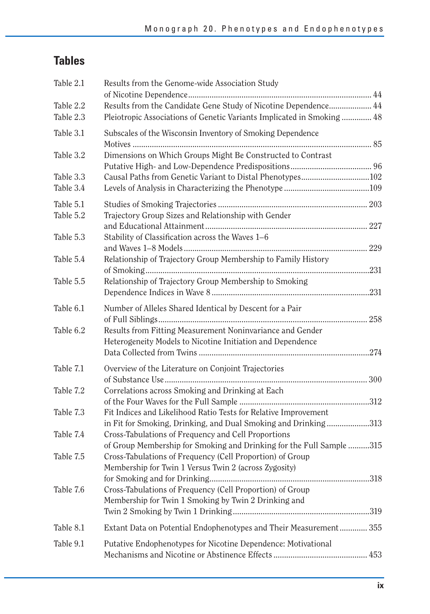## **Table s**

| Table 2.1              | Results from the Genome-wide Association Study                                                                                    |  |
|------------------------|-----------------------------------------------------------------------------------------------------------------------------------|--|
| Table 2.2              | Results from the Candidate Gene Study of Nicotine Dependence 44                                                                   |  |
| Table 2.3              | Pleiotropic Associations of Genetic Variants Implicated in Smoking  48                                                            |  |
| Table 3.1              | Subscales of the Wisconsin Inventory of Smoking Dependence                                                                        |  |
| Table 3.2              | Dimensions on Which Groups Might Be Constructed to Contrast                                                                       |  |
| Table 3.3              | Causal Paths from Genetic Variant to Distal Phenotypes102                                                                         |  |
| Table 3.4              |                                                                                                                                   |  |
| Table 5.1<br>Table 5.2 | Trajectory Group Sizes and Relationship with Gender                                                                               |  |
|                        |                                                                                                                                   |  |
| Table 5.3              | Stability of Classification across the Waves 1–6                                                                                  |  |
| Table 5.4              | Relationship of Trajectory Group Membership to Family History                                                                     |  |
| Table 5.5              | Relationship of Trajectory Group Membership to Smoking                                                                            |  |
| Table 6.1              | Number of Alleles Shared Identical by Descent for a Pair                                                                          |  |
| Table 6.2              | Results from Fitting Measurement Noninvariance and Gender<br>Heterogeneity Models to Nicotine Initiation and Dependence           |  |
|                        |                                                                                                                                   |  |
| Table 7.1              | Overview of the Literature on Conjoint Trajectories                                                                               |  |
| Table 7.2              | Correlations across Smoking and Drinking at Each                                                                                  |  |
|                        |                                                                                                                                   |  |
| Table 7.3              | Fit Indices and Likelihood Ratio Tests for Relative Improvement<br>in Fit for Smoking, Drinking, and Dual Smoking and Drinking313 |  |
| Table 7.4              | Cross-Tabulations of Frequency and Cell Proportions<br>of Group Membership for Smoking and Drinking for the Full Sample 315       |  |
| Table 7.5              | Cross-Tabulations of Frequency (Cell Proportion) of Group<br>Membership for Twin 1 Versus Twin 2 (across Zygosity)                |  |
| Table 7.6              | Cross-Tabulations of Frequency (Cell Proportion) of Group<br>Membership for Twin 1 Smoking by Twin 2 Drinking and                 |  |
| Table 8.1              | Extant Data on Potential Endophenotypes and Their Measurement 355                                                                 |  |
| Table 9.1              | Putative Endophenotypes for Nicotine Dependence: Motivational                                                                     |  |